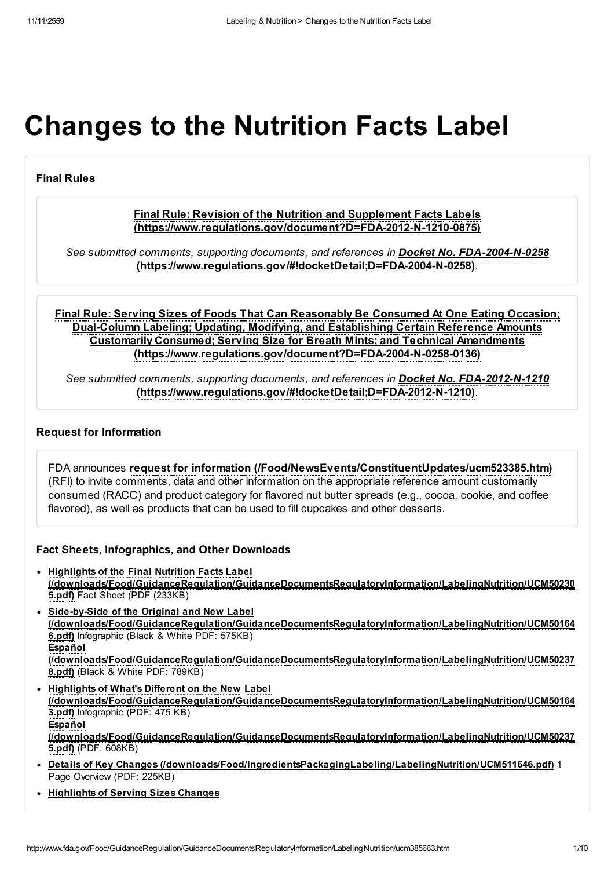# Changes to the Nutrition Facts Label

# Final Rules

# Final Rule: Revision of the Nutrition and Supplement Facts Labels [\(https://www.regulations.gov/document?D=FDA-2012-N-1210-0875\)](https://www.regulations.gov/document?D=FDA-2012-N-1210-0875)

See submitted comments, supporting documents, and references in **Docket No. FDA-2004-N-0258** [\(https://www.regulations.gov/#!docketDetail;D=FDA-2004-N-0258\)](https://www.regulations.gov/#!docketDetail;D=FDA-2004-N-0258).

Final Rule: Serving Sizes of Foods That Can Reasonably Be Consumed At One Eating Occasion; Dual-Column Labeling; Updating, Modifying, and Establishing Certain Reference Amounts Customarily Consumed; Serving Size for Breath Mints; and Technical Amendments [\(https://www.regulations.gov/document?D=FDA-2004-N-0258-0136\)](https://www.regulations.gov/document?D=FDA-2004-N-0258-0136)

See submitted comments, supporting documents, and references in Docket No. FDA-2012-N-1210 [\(https://www.regulations.gov/#!docketDetail;D=FDA-2012-N-1210\)](https://www.regulations.gov/#!docketDetail;D=FDA-2012-N-1210).

#### Request for Information

FDA announces request for information [\(/Food/NewsEvents/ConstituentUpdates/ucm523385.htm\)](http://www.fda.gov/Food/NewsEvents/ConstituentUpdates/ucm523385.htm) (RFI) to invite comments, data and other information on the appropriate reference amount customarily consumed (RACC) and product category for flavored nut butter spreads (e.g., cocoa, cookie, and coffee flavored), as well as products that can be used to fill cupcakes and other desserts.

#### Fact Sheets, Infographics, and Other Downloads

- Highlights of the Final Nutrition Facts Label [\(/downloads/Food/GuidanceRegulation/GuidanceDocumentsRegulatoryInformation/LabelingNutrition/UCM50230](http://www.fda.gov/downloads/Food/GuidanceRegulation/GuidanceDocumentsRegulatoryInformation/LabelingNutrition/UCM502305.pdf) 5.pdf) Fact Sheet (PDF (233KB)
- Side-by-Side of the Original and New Label [\(/downloads/Food/GuidanceRegulation/GuidanceDocumentsRegulatoryInformation/LabelingNutrition/UCM50164](http://www.fda.gov/downloads/Food/GuidanceRegulation/GuidanceDocumentsRegulatoryInformation/LabelingNutrition/UCM501646.pdf) 6.pdf) Infographic (Black & White PDF: 575KB) Español [\(/downloads/Food/GuidanceRegulation/GuidanceDocumentsRegulatoryInformation/LabelingNutrition/UCM50237](http://www.fda.gov/downloads/Food/GuidanceRegulation/GuidanceDocumentsRegulatoryInformation/LabelingNutrition/UCM502378.pdf) 8.pdf) (Black & White PDF: 789KB)
- Highlights of What's Different on the New Label [\(/downloads/Food/GuidanceRegulation/GuidanceDocumentsRegulatoryInformation/LabelingNutrition/UCM50164](http://www.fda.gov/downloads/Food/GuidanceRegulation/GuidanceDocumentsRegulatoryInformation/LabelingNutrition/UCM501643.pdf) 3.pdf) Infographic (PDF: 475 KB) Español [\(/downloads/Food/GuidanceRegulation/GuidanceDocumentsRegulatoryInformation/LabelingNutrition/UCM50237](http://www.fda.gov/downloads/Food/GuidanceRegulation/GuidanceDocumentsRegulatoryInformation/LabelingNutrition/UCM502375.pdf) 5.pdf) (PDF: 608KB)
- Details of Key Changes [\(/downloads/Food/IngredientsPackagingLabeling/LabelingNutrition/UCM511646.pdf\)](http://www.fda.gov/downloads/Food/IngredientsPackagingLabeling/LabelingNutrition/UCM511646.pdf) 1 Page Overview (PDF: 225KB)
- [Highlights](http://www.fda.gov/downloads/Food/GuidanceRegulation/GuidanceDocumentsRegulatoryInformation/LabelingNutrition/UCM501663.pdf) of Serving Sizes Changes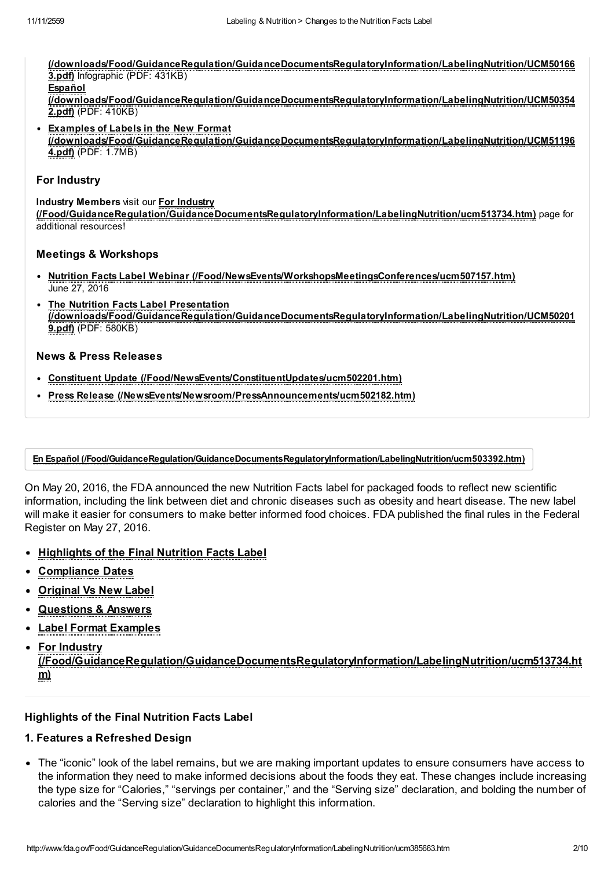[\(/downloads/Food/GuidanceRegulation/GuidanceDocumentsRegulatoryInformation/LabelingNutrition/UCM50166](http://www.fda.gov/downloads/Food/GuidanceRegulation/GuidanceDocumentsRegulatoryInformation/LabelingNutrition/UCM501663.pdf) 3.pdf) Infographic (PDF: 431KB) **Español** [\(/downloads/Food/GuidanceRegulation/GuidanceDocumentsRegulatoryInformation/LabelingNutrition/UCM50354](http://www.fda.gov/downloads/Food/GuidanceRegulation/GuidanceDocumentsRegulatoryInformation/LabelingNutrition/UCM503542.pdf)

- 2.pdf) (PDF: 410KB)
- Examples of Labels in the New Format [\(/downloads/Food/GuidanceRegulation/GuidanceDocumentsRegulatoryInformation/LabelingNutrition/UCM51196](http://www.fda.gov/downloads/Food/GuidanceRegulation/GuidanceDocumentsRegulatoryInformation/LabelingNutrition/UCM511964.pdf) 4.pdf) (PDF: 1.7MB)

#### For Industry

Industry Members visit our For Industry [\(/Food/GuidanceRegulation/GuidanceDocumentsRegulatoryInformation/LabelingNutrition/ucm513734.htm\)](http://www.fda.gov/Food/GuidanceRegulation/GuidanceDocumentsRegulatoryInformation/LabelingNutrition/ucm513734.htm) page for additional resources!

#### Meetings & Workshops

- Nutrition Facts Label Webinar [\(/Food/NewsEvents/WorkshopsMeetingsConferences/ucm507157.htm\)](http://www.fda.gov/Food/NewsEvents/WorkshopsMeetingsConferences/ucm507157.htm) June 27, 2016
- The Nutrition Facts Label Presentation [\(/downloads/Food/GuidanceRegulation/GuidanceDocumentsRegulatoryInformation/LabelingNutrition/UCM50201](http://www.fda.gov/downloads/Food/GuidanceRegulation/GuidanceDocumentsRegulatoryInformation/LabelingNutrition/UCM502019.pdf) 9.pdf) (PDF: 580KB)

#### News & Press Releases

- Constituent Update [\(/Food/NewsEvents/ConstituentUpdates/ucm502201.htm\)](http://www.fda.gov/Food/NewsEvents/ConstituentUpdates/ucm502201.htm)
- Press Release [\(/NewsEvents/Newsroom/PressAnnouncements/ucm502182.htm\)](http://www.fda.gov/NewsEvents/Newsroom/PressAnnouncements/ucm502182.htm)

#### En Español [\(/Food/GuidanceRegulation/GuidanceDocumentsRegulatoryInformation/LabelingNutrition/ucm503392.htm\)](http://www.fda.gov/Food/GuidanceRegulation/GuidanceDocumentsRegulatoryInformation/LabelingNutrition/ucm503392.htm)

On May 20, 2016, the FDA announced the new Nutrition Facts label for packaged foods to reflect new scientific information, including the link between diet and chronic diseases such as obesity and heart disease. The new label will make it easier for consumers to make better informed food choices. FDA published the final rules in the Federal Register on May 27, 2016.

- [Highlights](#page-1-0) of the Final Nutrition Facts Label
- [Compliance](#page-2-0) Dates
- [Original](#page-2-1) Vs New Label
- [Questions](#page-5-0) & Answers
- Label Format [Examples](#page-7-0)
- For Industry

[\(/Food/GuidanceRegulation/GuidanceDocumentsRegulatoryInformation/LabelingNutrition/ucm513734.ht](http://www.fda.gov/Food/GuidanceRegulation/GuidanceDocumentsRegulatoryInformation/LabelingNutrition/ucm513734.htm) m)

#### <span id="page-1-0"></span>Highlights of the Final Nutrition Facts Label

#### 1. Features a Refreshed Design

The "iconic" look of the label remains, but we are making important updates to ensure consumers have access to the information they need to make informed decisions about the foods they eat. These changes include increasing the type size for "Calories," "servings per container," and the "Serving size" declaration, and bolding the number of calories and the "Serving size" declaration to highlight this information.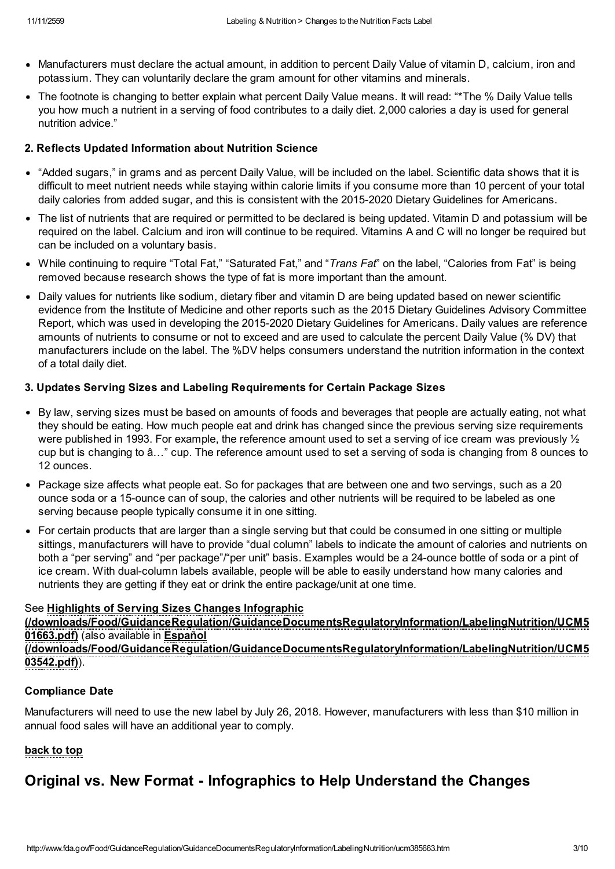- Manufacturers must declare the actual amount, in addition to percent Daily Value of vitamin D, calcium, iron and potassium. They can voluntarily declare the gram amount for other vitamins and minerals.
- The footnote is changing to better explain what percent Daily Value means. It will read: "\*The % Daily Value tells you how much a nutrient in a serving of food contributes to a daily diet. 2,000 calories a day is used for general nutrition advice."

# 2. Reflects Updated Information about Nutrition Science

- "Added sugars," in grams and as percent Daily Value, will be included on the label. Scientific data shows that it is difficult to meet nutrient needs while staying within calorie limits if you consume more than 10 percent of your total daily calories from added sugar, and this is consistent with the 2015-2020 Dietary Guidelines for Americans.
- The list of nutrients that are required or permitted to be declared is being updated. Vitamin D and potassium will be required on the label. Calcium and iron will continue to be required. Vitamins A and C will no longer be required but can be included on a voluntary basis.
- While continuing to require "Total Fat," "Saturated Fat," and "Trans Fat" on the label, "Calories from Fat" is being removed because research shows the type of fat is more important than the amount.
- Daily values for nutrients like sodium, dietary fiber and vitamin D are being updated based on newer scientific evidence from the Institute of Medicine and other reports such as the 2015 Dietary Guidelines Advisory Committee Report, which was used in developing the 2015-2020 Dietary Guidelines for Americans. Daily values are reference amounts of nutrients to consume or not to exceed and are used to calculate the percent Daily Value (% DV) that manufacturers include on the label. The %DV helps consumers understand the nutrition information in the context of a total daily diet.

# 3. Updates Serving Sizes and Labeling Requirements for Certain Package Sizes

- By law, serving sizes must be based on amounts of foods and beverages that people are actually eating, not what they should be eating. How much people eat and drink has changed since the previous serving size requirements were published in 1993. For example, the reference amount used to set a serving of ice cream was previously  $\frac{1}{2}$ cup but is changing to â…" cup. The reference amount used to set a serving of soda is changing from 8 ounces to 12 ounces.
- Package size affects what people eat. So for packages that are between one and two servings, such as a 20 ounce soda or a 15-ounce can of soup, the calories and other nutrients will be required to be labeled as one serving because people typically consume it in one sitting.
- For certain products that are larger than a single serving but that could be consumed in one sitting or multiple sittings, manufacturers will have to provide "dual column" labels to indicate the amount of calories and nutrients on both a "per serving" and "per package"/"per unit" basis. Examples would be a 24-ounce bottle of soda or a pint of ice cream. With dual-column labels available, people will be able to easily understand how many calories and nutrients they are getting if they eat or drink the entire package/unit at one time.

# See Highlights of Serving Sizes Changes Infographic

[\(/downloads/Food/GuidanceRegulation/GuidanceDocumentsRegulatoryInformation/LabelingNutrition/UCM5](http://www.fda.gov/downloads/Food/GuidanceRegulation/GuidanceDocumentsRegulatoryInformation/LabelingNutrition/UCM501663.pdf) 01663.pdf) (also available in Español [\(/downloads/Food/GuidanceRegulation/GuidanceDocumentsRegulatoryInformation/LabelingNutrition/UCM5](http://www.fda.gov/downloads/Food/GuidanceRegulation/GuidanceDocumentsRegulatoryInformation/LabelingNutrition/UCM503542.pdf) 03542.pdf)).

# <span id="page-2-0"></span>Compliance Date

Manufacturers will need to use the new label by July 26, 2018. However, manufacturers with less than \$10 million in annual food sales will have an additional year to comply.

# back to top

# <span id="page-2-1"></span>Original vs. New Format - Infographics to Help Understand the Changes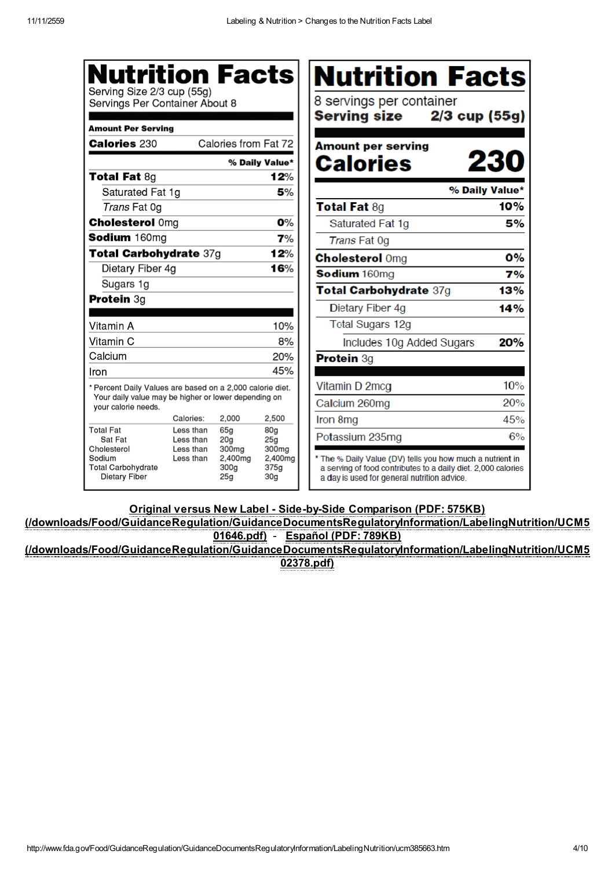| <b>Nutrition Facts</b><br>Serving Size 2/3 cup (55g)<br>Servings Per Container About 8<br><b>Amount Per Serving</b> |                                     |                                             |                                    | Nutrition Facts<br>8 servings per container<br>Serving size<br>$2/3$ cup (55g)                                                                                            |                |
|---------------------------------------------------------------------------------------------------------------------|-------------------------------------|---------------------------------------------|------------------------------------|---------------------------------------------------------------------------------------------------------------------------------------------------------------------------|----------------|
| <b>Calories 230</b>                                                                                                 |                                     | Calories from Fat 72                        |                                    | <b>Amount per serving</b>                                                                                                                                                 |                |
|                                                                                                                     |                                     |                                             | % Daily Value*                     | <b>Calories</b>                                                                                                                                                           | 230            |
| <b>Total Fat 8g</b>                                                                                                 |                                     |                                             | 12%                                |                                                                                                                                                                           |                |
| Saturated Fat 1g                                                                                                    |                                     |                                             | 5%                                 |                                                                                                                                                                           | % Daily Value* |
| Trans Fat 0g                                                                                                        |                                     |                                             |                                    | <b>Total Fat 8g</b>                                                                                                                                                       | 10%            |
| <b>Cholesterol Omg</b>                                                                                              |                                     |                                             | 0%                                 | Saturated Fat 1g                                                                                                                                                          | 5%             |
| Sodium 160mg                                                                                                        |                                     |                                             | 7%                                 | Trans Fat 0g                                                                                                                                                              |                |
| Total Carbohydrate 37g                                                                                              |                                     |                                             | 12%                                | <b>Cholesterol Omg</b>                                                                                                                                                    | <b>0%</b>      |
| Dietary Fiber 4g                                                                                                    |                                     |                                             | 16%                                | Sodium 160mg                                                                                                                                                              | 7%             |
| Sugars 1g                                                                                                           |                                     |                                             |                                    | Total Carbohydrate 37g                                                                                                                                                    | 13%            |
| <b>Protein 3g</b>                                                                                                   |                                     |                                             |                                    | Dietary Fiber 4g                                                                                                                                                          | 14%            |
| Vitamin A                                                                                                           |                                     |                                             | 10%                                | <b>Total Sugars 12g</b>                                                                                                                                                   |                |
| Vitamin C                                                                                                           |                                     |                                             | 8%                                 | Includes 10g Added Sugars                                                                                                                                                 | 20%            |
| Calcium                                                                                                             |                                     |                                             | 20%                                | Protein 3g                                                                                                                                                                |                |
| Iron                                                                                                                |                                     |                                             | 45%                                |                                                                                                                                                                           |                |
| * Percent Daily Values are based on a 2,000 calorie diet.                                                           |                                     |                                             |                                    | Vitamin D 2mcg                                                                                                                                                            | 10%            |
| Your daily value may be higher or lower depending on<br>vour calorie needs.                                         |                                     |                                             |                                    | Calcium 260mg                                                                                                                                                             | 20%            |
|                                                                                                                     | Calories:                           | 2.000                                       | 2.500                              | Iron 8mg                                                                                                                                                                  | 45%            |
| <b>Total Fat</b><br>Sat Fat<br>Cholesterol                                                                          | Less than<br>Less than<br>Less than | 65a<br>20 <sub>g</sub><br>300 <sub>ma</sub> | 80a<br>25g<br>300 <sub>ma</sub>    | Potassium 235mg                                                                                                                                                           | 6%             |
| Sodium<br><b>Total Carbohydrate</b><br>Dietary Fiber                                                                | Less than                           | 2,400mg<br>300a<br>25g                      | 2,400mg<br>375a<br>30 <sub>g</sub> | * The % Daily Value (DV) tells you how much a nutrient in<br>a serving of food contributes to a daily diet. 2,000 calories<br>a day is used for general nutrition advice. |                |

Original versus New Label - Side-by-Side Comparison (PDF: 575KB)

[\(/downloads/Food/GuidanceRegulation/GuidanceDocumentsRegulatoryInformation/LabelingNutrition/UCM5](http://www.fda.gov/downloads/Food/GuidanceRegulation/GuidanceDocumentsRegulatoryInformation/LabelingNutrition/UCM501646.pdf) 01646.pdf) - Español (PDF: 789KB) [\(/downloads/Food/GuidanceRegulation/GuidanceDocumentsRegulatoryInformation/LabelingNutrition/UCM5](http://www.fda.gov/downloads/Food/GuidanceRegulation/GuidanceDocumentsRegulatoryInformation/LabelingNutrition/UCM502378.pdf)

02378.pdf)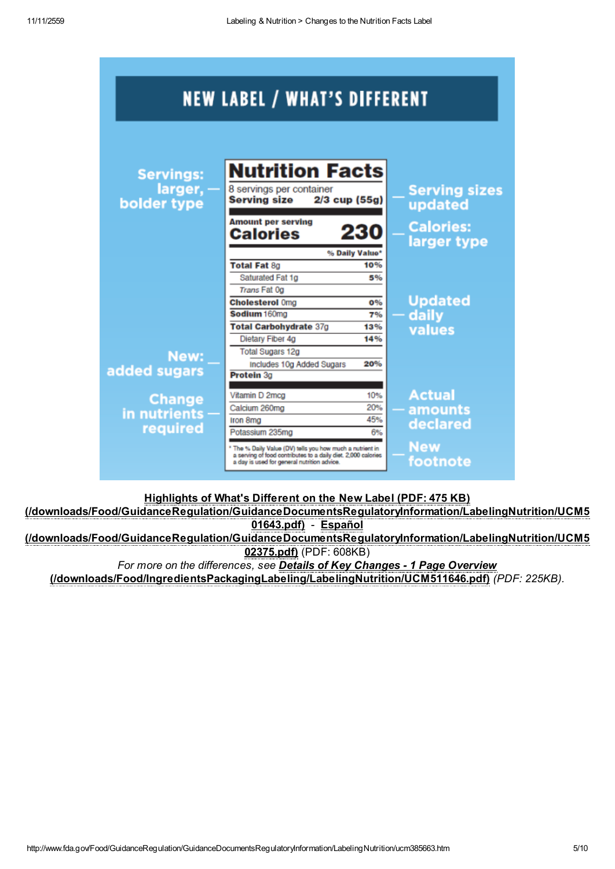|                                            | <b>NEW LABEL / WHAT'S DIFFERENT</b>                                                                                                                                                          |                             |                                                                    |
|--------------------------------------------|----------------------------------------------------------------------------------------------------------------------------------------------------------------------------------------------|-----------------------------|--------------------------------------------------------------------|
| <b>Servings:</b><br>larger,<br>bolder type | <b>Nutrition Facts</b><br>8 servings per container<br>$2/3$ cup (55g)<br><b>Serving size</b><br><b>Amount per serving</b><br><b>Calories</b>                                                 | 230                         | <b>Serving sizes</b><br>updated<br><b>Calories:</b><br>larger type |
|                                            | <b>Total Fat 8g</b><br>Saturated Fat 1g                                                                                                                                                      | % Daily Value*<br>10%<br>5% |                                                                    |
|                                            | Trans Fat 0g<br><b>Cholesterol Omg</b><br>Sodium 160mg<br><b>Total Carbohydrate 37g</b>                                                                                                      | 0%<br>7%<br>13%             | <b>Updated</b><br>daily                                            |
| New:<br>added sugars                       | Dietary Fiber 4g<br><b>Total Sugars 12g</b><br>Includes 10g Added Sugars<br>Protein 3a                                                                                                       | 14%<br>20%                  | values                                                             |
| <b>Change</b><br>in nutrients              | Vitamin D 2mcg<br>Calcium 260mg<br>Iron 8mg                                                                                                                                                  | 10%<br>20%<br>45%           | <b>Actual</b><br>amounts                                           |
| required                                   | Potassium 235mg<br>* The % Daily Value (DV) tells you how much a nutrient in<br>a serving of food contributes to a daily diet. 2,000 calories<br>a day is used for general nutrition advice. | 6%                          | declared<br><b>New</b><br>footnote                                 |

Highlights of What's Different on the New Label (PDF: 475 KB)

[\(/downloads/Food/GuidanceRegulation/GuidanceDocumentsRegulatoryInformation/LabelingNutrition/UCM5](http://www.fda.gov/downloads/Food/GuidanceRegulation/GuidanceDocumentsRegulatoryInformation/LabelingNutrition/UCM501643.pdf) 01643.pdf) - Español [\(/downloads/Food/GuidanceRegulation/GuidanceDocumentsRegulatoryInformation/LabelingNutrition/UCM5](http://www.fda.gov/downloads/Food/GuidanceRegulation/GuidanceDocumentsRegulatoryInformation/LabelingNutrition/UCM502375.pdf) 02375.pdf) (PDF: 608KB)

For more on the differences, see Details of Key Changes - 1 Page Overview [\(/downloads/Food/IngredientsPackagingLabeling/LabelingNutrition/UCM511646.pdf\)](http://www.fda.gov/downloads/Food/IngredientsPackagingLabeling/LabelingNutrition/UCM511646.pdf) (PDF: 225KB).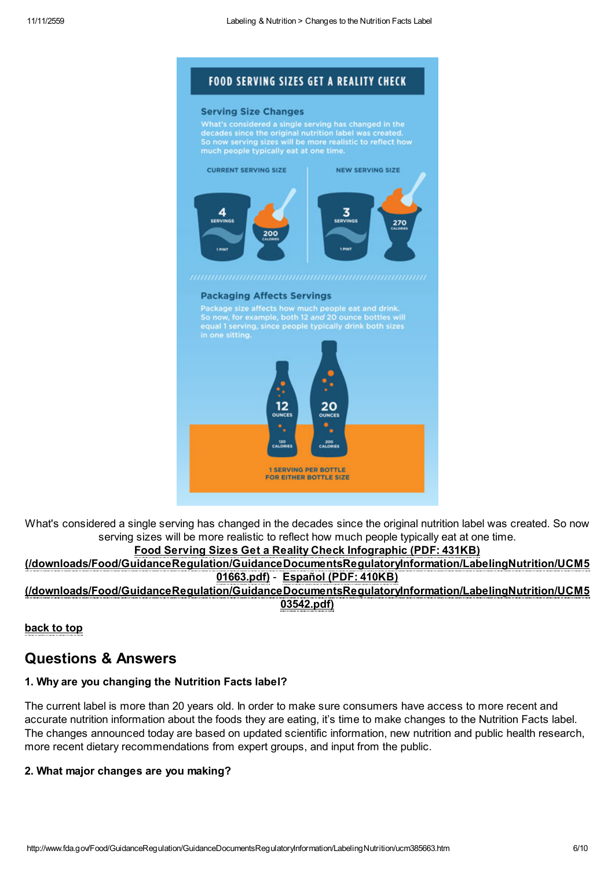# **FOOD SERVING SIZES GET A REALITY CHECK**

#### **Serving Size Changes**

What's considered a single serving has changed in the<br>decades since the original nutrition label was created.<br>So now serving sizes will be more realistic to reflect how



#### **Packaging Affects Servings**

Package size affects how much people eat and drink.<br>So now, for example, both 12 and 20 ounce bottles will<br>equal 1 serving, since people typically drink both sizes



What's considered a single serving has changed in the decades since the original nutrition label was created. So now serving sizes will be more realistic to reflect how much people typically eat at one time.

# Food Serving Sizes Get a Reality Check Infographic (PDF: 431KB)

[\(/downloads/Food/GuidanceRegulation/GuidanceDocumentsRegulatoryInformation/LabelingNutrition/UCM5](http://www.fda.gov/downloads/Food/GuidanceRegulation/GuidanceDocumentsRegulatoryInformation/LabelingNutrition/UCM501663.pdf) 01663.pdf) - Español (PDF: 410KB)

[\(/downloads/Food/GuidanceRegulation/GuidanceDocumentsRegulatoryInformation/LabelingNutrition/UCM5](http://www.fda.gov/downloads/Food/GuidanceRegulation/GuidanceDocumentsRegulatoryInformation/LabelingNutrition/UCM503542.pdf) 03542.pdf)

back to top

# <span id="page-5-0"></span>Questions & Answers

# 1. Why are you changing the Nutrition Facts label?

The current label is more than 20 years old. In order to make sure consumers have access to more recent and accurate nutrition information about the foods they are eating, it's time to make changes to the Nutrition Facts label. The changes announced today are based on updated scientific information, new nutrition and public health research, more recent dietary recommendations from expert groups, and input from the public.

# 2. What major changes are you making?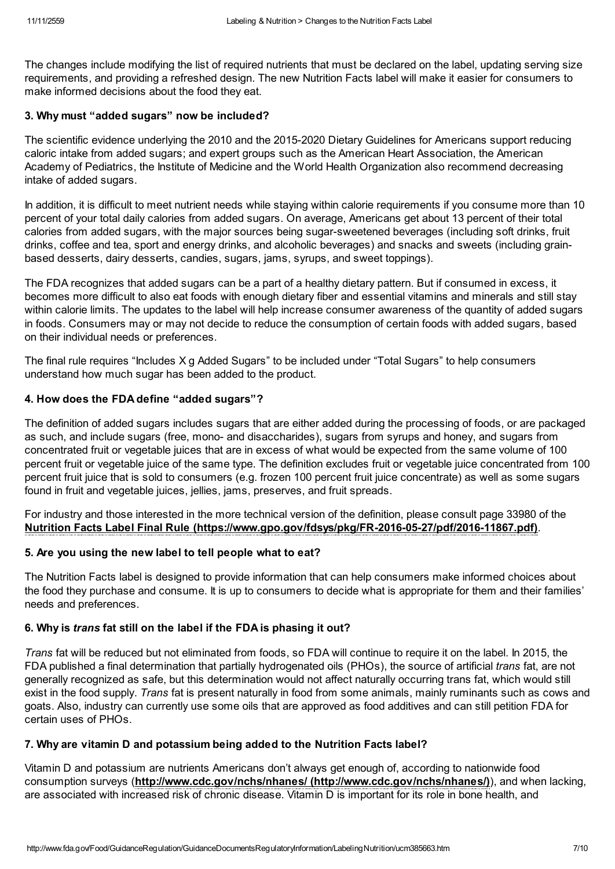The changes include modifying the list of required nutrients that must be declared on the label, updating serving size requirements, and providing a refreshed design. The new Nutrition Facts label will make it easier for consumers to make informed decisions about the food they eat.

# 3. Why must "added sugars" now be included?

The scientific evidence underlying the 2010 and the 2015-2020 Dietary Guidelines for Americans support reducing caloric intake from added sugars; and expert groups such as the American Heart Association, the American Academy of Pediatrics, the Institute of Medicine and the World Health Organization also recommend decreasing intake of added sugars.

In addition, it is difficult to meet nutrient needs while staying within calorie requirements if you consume more than 10 percent of your total daily calories from added sugars. On average, Americans get about 13 percent of their total calories from added sugars, with the major sources being sugar-sweetened beverages (including soft drinks, fruit drinks, coffee and tea, sport and energy drinks, and alcoholic beverages) and snacks and sweets (including grainbased desserts, dairy desserts, candies, sugars, jams, syrups, and sweet toppings).

The FDA recognizes that added sugars can be a part of a healthy dietary pattern. But if consumed in excess, it becomes more difficult to also eat foods with enough dietary fiber and essential vitamins and minerals and still stay within calorie limits. The updates to the label will help increase consumer awareness of the quantity of added sugars in foods. Consumers may or may not decide to reduce the consumption of certain foods with added sugars, based on their individual needs or preferences.

The final rule requires "Includes X g Added Sugars" to be included under "Total Sugars" to help consumers understand how much sugar has been added to the product.

# 4. How does the FDA define "added sugars"?

The definition of added sugars includes sugars that are either added during the processing of foods, or are packaged as such, and include sugars (free, mono- and disaccharides), sugars from syrups and honey, and sugars from concentrated fruit or vegetable juices that are in excess of what would be expected from the same volume of 100 percent fruit or vegetable juice of the same type. The definition excludes fruit or vegetable juice concentrated from 100 percent fruit juice that is sold to consumers (e.g. frozen 100 percent fruit juice concentrate) as well as some sugars found in fruit and vegetable juices, jellies, jams, preserves, and fruit spreads.

For industry and those interested in the more technical version of the definition, please consult page 33980 of the Nutrition Facts Label Final Rule [\(https://www.gpo.gov/fdsys/pkg/FR-2016-05-27/pdf/2016-11867.pdf\)](https://www.gpo.gov/fdsys/pkg/FR-2016-05-27/pdf/2016-11867.pdf).

# 5. Are you using the new label to tell people what to eat?

The Nutrition Facts label is designed to provide information that can help consumers make informed choices about the food they purchase and consume. It is up to consumers to decide what is appropriate for them and their families' needs and preferences.

# 6. Why is trans fat still on the label if the FDA is phasing it out?

Trans fat will be reduced but not eliminated from foods, so FDA will continue to require it on the label. In 2015, the FDA published a final determination that partially hydrogenated oils (PHOs), the source of artificial *trans* fat, are not generally recognized as safe, but this determination would not affect naturally occurring trans fat, which would still exist in the food supply. Trans fat is present naturally in food from some animals, mainly ruminants such as cows and goats. Also, industry can currently use some oils that are approved as food additives and can still petition FDA for certain uses of PHOs.

# 7. Why are vitamin D and potassium being added to the Nutrition Facts label?

Vitamin D and potassium are nutrients Americans don't always get enough of, according to nationwide food consumption surveys (http://www.cdc.gov/nchs/nhanes/ [\(http://www.cdc.gov/nchs/nhanes/\)](http://www.cdc.gov/nchs/nhanes/)), and when lacking, are associated with increased risk of chronic disease. Vitamin D is important for its role in bone health, and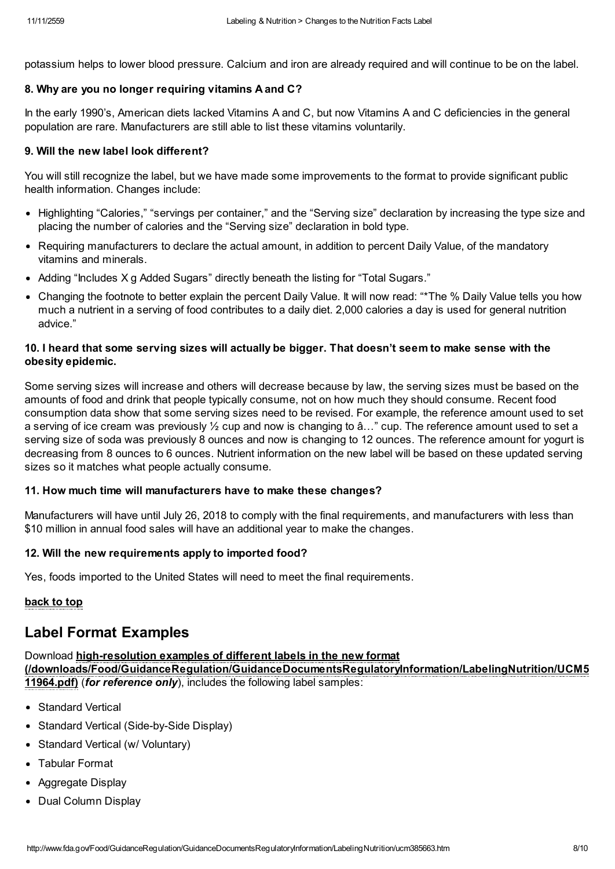potassium helps to lower blood pressure. Calcium and iron are already required and will continue to be on the label.

#### 8. Why are you no longer requiring vitamins A and C?

In the early 1990's, American diets lacked Vitamins A and C, but now Vitamins A and C deficiencies in the general population are rare. Manufacturers are still able to list these vitamins voluntarily.

#### 9. Will the new label look different?

You will still recognize the label, but we have made some improvements to the format to provide significant public health information. Changes include:

- Highlighting "Calories," "servings per container," and the "Serving size" declaration by increasing the type size and placing the number of calories and the "Serving size" declaration in bold type.
- Requiring manufacturers to declare the actual amount, in addition to percent Daily Value, of the mandatory vitamins and minerals.
- Adding "Includes X g Added Sugars" directly beneath the listing for "Total Sugars."
- Changing the footnote to better explain the percent Daily Value. It will now read: "\*The % Daily Value tells you how much a nutrient in a serving of food contributes to a daily diet. 2,000 calories a day is used for general nutrition advice."

# 10. I heard that some serving sizes will actually be bigger. That doesn't seem to make sense with the obesity epidemic.

Some serving sizes will increase and others will decrease because by law, the serving sizes must be based on the amounts of food and drink that people typically consume, not on how much they should consume. Recent food consumption data show that some serving sizes need to be revised. For example, the reference amount used to set a serving of ice cream was previously ½ cup and now is changing to â…" cup. The reference amount used to set a serving size of soda was previously 8 ounces and now is changing to 12 ounces. The reference amount for yogurt is decreasing from 8 ounces to 6 ounces. Nutrient information on the new label will be based on these updated serving sizes so it matches what people actually consume.

# 11. How much time will manufacturers have to make these changes?

Manufacturers will have until July 26, 2018 to comply with the final requirements, and manufacturers with less than \$10 million in annual food sales will have an additional year to make the changes.

# 12. Will the new requirements apply to imported food?

Yes, foods imported to the United States will need to meet the final requirements.

# back to top

# <span id="page-7-0"></span>Label Format Examples

# Download high-resolution examples of different labels in the new format

[\(/downloads/Food/GuidanceRegulation/GuidanceDocumentsRegulatoryInformation/LabelingNutrition/UCM5](http://www.fda.gov/downloads/Food/GuidanceRegulation/GuidanceDocumentsRegulatoryInformation/LabelingNutrition/UCM511964.pdf) 11964.pdf) (for reference only), includes the following label samples:

- Standard Vertical
- Standard Vertical (Side-by-Side Display)
- Standard Vertical (w/ Voluntary)
- Tabular Format
- Aggregate Display
- Dual Column Display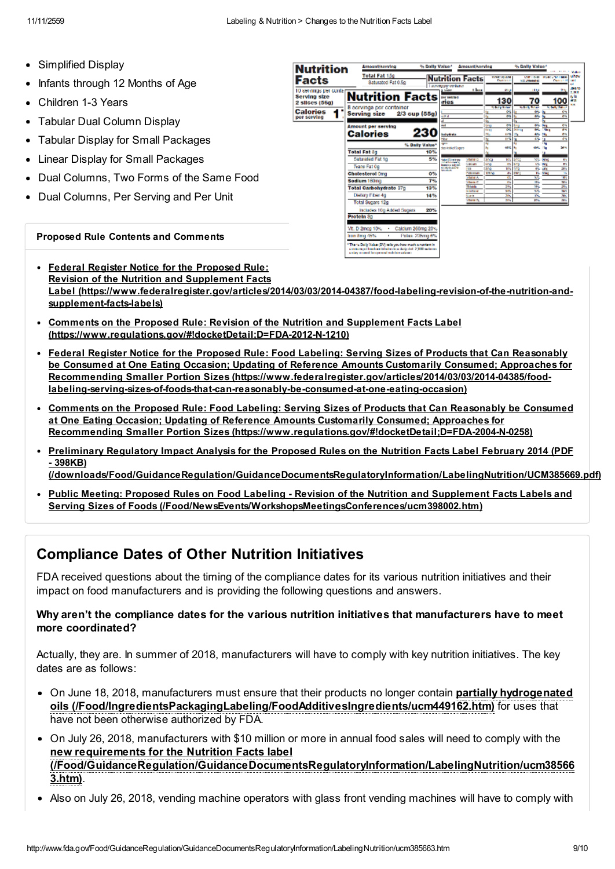- Simplified Display
- Infants through 12 Months of Age
- Children 1-3 Years
- Tabular Dual Column Display
- Tabular Display for Small Packages
- Linear Display for Small Packages
- Dual Columns, Two Forms of the Same Food
- Dual Columns, Per Serving and Per Unit

#### Proposed Rule Contents and Comments

| <b>Nutrition</b>                                         | Amountiserving                                                                                                                                                                   | % Dally Value*        |                                                                     | <b>Amount/serving</b>                            |                                                | % Dally Value*                                         |                                                                       |                                            |
|----------------------------------------------------------|----------------------------------------------------------------------------------------------------------------------------------------------------------------------------------|-----------------------|---------------------------------------------------------------------|--------------------------------------------------|------------------------------------------------|--------------------------------------------------------|-----------------------------------------------------------------------|--------------------------------------------|
| Facts                                                    | <b>Total Fat 15g</b><br>Saturated Fat 0.5g                                                                                                                                       |                       | <b>Nutrition Facts</b><br>I acrying per container                   |                                                  | <b>GMCXIEM</b><br><b>Carriers</b>              | <b>CONTRACTOR</b><br><b>SIC PRODUCTS</b>               | More Little<br><b>David Artist</b>                                    | <b>Walker</b><br>utov<br><b>START</b>      |
| 10 servings per contan<br>Serving size<br>2 silces (56g) | <b>Nutrition Facts</b>                                                                                                                                                           |                       | a size:<br><b>BAC MAYNES</b><br>ries                                | <b>There</b>                                     | $\alpha$<br>130                                | 1134<br>70                                             | つら<br>100                                                             | <b>DI 10</b><br>2.000<br>wh<br>ant.<br>339 |
| Calories<br>per serving                                  | 8 servings per container<br>Serving size                                                                                                                                         | 2/3 cup (55g)         | d Kra                                                               |                                                  | <b>Sales Bridge</b><br><b>CHI</b><br>ल्य<br>o, | <b>Statistics</b><br>$\mathbf{C}^{\mu}$<br>ळ           | <b>Cash Water</b><br>C-1<br><b>Chi</b><br>٠                           |                                            |
|                                                          | <b>Amount per serving</b><br>Calories                                                                                                                                            | 230                   | mal<br>bahydrata<br>÷.                                              |                                                  | e.<br>m<br>व्य<br>fare p<br>封壁<br>×.<br>林城     | œ<br>氥<br><b>Stern</b><br><b>ALC:</b><br>$\frac{1}{2}$ | <b>Che</b><br><b>Sep</b><br>Ŧ.<br><b>Sky</b><br>e Ly<br>24<br>4%<br>ш |                                            |
|                                                          | <b>Total Fat 8g</b>                                                                                                                                                              | % Daily Value*<br>10% | gans.<br>des Abdud Sagers                                           |                                                  | n.<br>44.92                                    | بماركة                                                 | M H                                                                   |                                            |
|                                                          | Saturated Fat 1g<br>Trans Fat Co.                                                                                                                                                | 5%                    | <b>MARINE MINIMA</b><br><b>UP APERIA MAY</b><br><b>Installation</b> | <b>VENTITO</b><br>CROWN                          | anco<br>$10-1$<br>ung<br><b>CTL</b>            | <b>STA</b><br><b>IN</b>                                | 2005<br>e.<br>e.<br><b>Day</b>                                        |                                            |
|                                                          | <b>Cholesterol Cmg</b><br>Sodium 160mg                                                                                                                                           | 0 <sub>5</sub><br>7%  | 到現在にも<br>---                                                        | 1979<br>TOM FILMS<br>About A                     | 3/10<br><b>KS</b><br><b>DIVO</b><br>兵馬         | e.<br>PL.<br>w                                         | <b>LAYS</b><br>æ.<br>×<br><b>SEWA</b><br>w.                           |                                            |
|                                                          | <b>Total Carbohydrate 37g</b>                                                                                                                                                    | 12%                   |                                                                     | <b>Harris C</b><br><b>TIGHT</b><br><b>HORANE</b> | $\sim$<br>286<br><b>STL</b>                    | Ws.<br>18%<br>w                                        | w.<br>29<br>×.                                                        |                                            |
|                                                          | Dietary Fiber 4g<br>Total Sugars 12g                                                                                                                                             | 14%                   |                                                                     | Naris<br><b>Change Tax</b>                       | 20%<br>m                                       | <b>When</b><br>$20 -$                                  | 201<br>$\overline{\phantom{a}}$                                       |                                            |
|                                                          | Includes 10g Added Sugars<br><b>Protein 3p</b>                                                                                                                                   | 20%                   |                                                                     |                                                  |                                                |                                                        |                                                                       |                                            |
|                                                          | Calcium 260mg 20%<br>VII. D 2mog 10%<br>٠<br>from Bring 45%<br>٠                                                                                                                 | Police, 235mg 6%      |                                                                     |                                                  |                                                |                                                        |                                                                       |                                            |
|                                                          | * The % Daily Value (DV) sells you how much a natrient in<br>a representate in the control relation for a sharily clinit. 20000 meter can<br>a day month he ground within advan- |                       |                                                                     |                                                  |                                                |                                                        |                                                                       |                                            |

- Federal Register Notice for the Proposed Rule: Revision of the Nutrition and Supplement Facts Label [\(https://www.federalregister.gov/articles/2014/03/03/2014-04387/food-labeling-revision-of-the-nutrition-and](https://www.federalregister.gov/articles/2014/03/03/2014-04387/food-labeling-revision-of-the-nutrition-and-supplement-facts-labels)supplement-facts-labels)
- Comments on the Proposed Rule: Revision of the Nutrition and Supplement Facts Label [\(https://www.regulations.gov/#!docketDetail;D=FDA-2012-N-1210\)](https://www.regulations.gov/#!docketDetail;D=FDA-2012-N-1210)
- Federal Register Notice for the Proposed Rule: Food Labeling: Serving Sizes of Products that Can Reasonably be Consumed at One Eating Occasion; Updating of Reference Amounts Customarily Consumed; Approaches for Recommending Smaller Portion Sizes (https://www.federalregister.gov/articles/2014/03/03/2014-04385/food[labeling-serving-sizes-of-foods-that-can-reasonably-be-consumed-at-one-eating-occasion\)](https://www.federalregister.gov/articles/2014/03/03/2014-04385/food-labeling-serving-sizes-of-foods-that-can-reasonably-be-consumed-at-one-eating-occasion)
- Comments on the Proposed Rule: Food Labeling: Serving Sizes of Products that Can Reasonably be Consumed at One Eating Occasion; Updating of Reference Amounts Customarily Consumed; Approaches for Recommending Smaller Portion Sizes [\(https://www.regulations.gov/#!docketDetail;D=FDA-2004-N-0258\)](https://www.regulations.gov/#!docketDetail;D=FDA-2004-N-0258)
- Preliminary Regulatory Impact Analysis for the Proposed Rules on the Nutrition Facts Label February 2014 (PDF - 398KB)
	- [\(/downloads/Food/GuidanceRegulation/GuidanceDocumentsRegulatoryInformation/LabelingNutrition/UCM385669.pdf\)](http://www.fda.gov/downloads/Food/GuidanceRegulation/GuidanceDocumentsRegulatoryInformation/LabelingNutrition/UCM385669.pdf)
- Public Meeting: Proposed Rules on Food Labeling Revision of the Nutrition and Supplement Facts Labels and Serving Sizes of Foods [\(/Food/NewsEvents/WorkshopsMeetingsConferences/ucm398002.htm\)](http://www.fda.gov/Food/NewsEvents/WorkshopsMeetingsConferences/ucm398002.htm)

# Compliance Dates of Other Nutrition Initiatives

FDA received questions about the timing of the compliance dates for its various nutrition initiatives and their impact on food manufacturers and is providing the following questions and answers.

# Why aren't the compliance dates for the various nutrition initiatives that manufacturers have to meet more coordinated?

Actually, they are. In summer of 2018, manufacturers will have to comply with key nutrition initiatives. The key dates are as follows:

- On June 18, 2018, manufacturers must ensure that their products no longer contain partially hydrogenated oils [\(/Food/IngredientsPackagingLabeling/FoodAdditivesIngredients/ucm449162.htm\)](http://www.fda.gov/Food/IngredientsPackagingLabeling/FoodAdditivesIngredients/ucm449162.htm) for uses that have not been otherwise authorized by FDA.
- On July 26, 2018, manufacturers with \$10 million or more in annual food sales will need to comply with the new requirements for the Nutrition Facts label [\(/Food/GuidanceRegulation/GuidanceDocumentsRegulatoryInformation/LabelingNutrition/ucm38566](http://www.fda.gov/Food/GuidanceRegulation/GuidanceDocumentsRegulatoryInformation/LabelingNutrition/ucm385663.htm) 3.htm).
- Also on July 26, 2018, vending machine operators with glass front vending machines will have to comply with